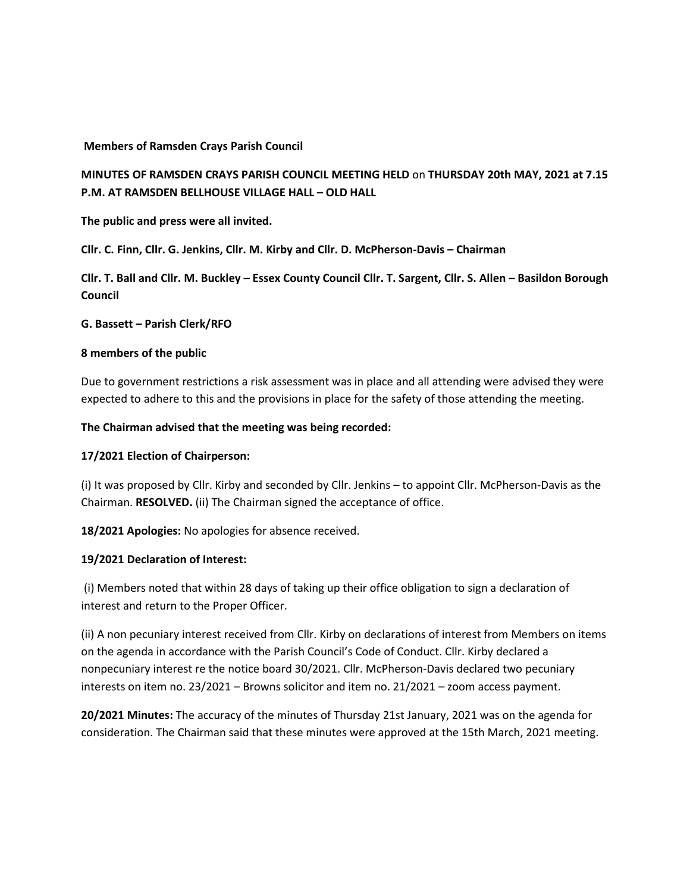### **Members of Ramsden Crays Parish Council**

# **MINUTES OF RAMSDEN CRAYS PARISH COUNCIL MEETING HELD** on **THURSDAY 20th MAY, 2021 at 7.15 P.M. AT RAMSDEN BELLHOUSE VILLAGE HALL – OLD HALL**

**The public and press were all invited.** 

**Cllr. C. Finn, Cllr. G. Jenkins, Cllr. M. Kirby and Cllr. D. McPherson-Davis – Chairman** 

**Cllr. T. Ball and Cllr. M. Buckley – Essex County Council Cllr. T. Sargent, Cllr. S. Allen – Basildon Borough Council** 

### **G. Bassett – Parish Clerk/RFO**

### **8 members of the public**

Due to government restrictions a risk assessment was in place and all attending were advised they were expected to adhere to this and the provisions in place for the safety of those attending the meeting.

### **The Chairman advised that the meeting was being recorded:**

#### **17/2021 Election of Chairperson:**

(i) It was proposed by Cllr. Kirby and seconded by Cllr. Jenkins – to appoint Cllr. McPherson-Davis as the Chairman. **RESOLVED.** (ii) The Chairman signed the acceptance of office.

**18/2021 Apologies:** No apologies for absence received.

#### **19/2021 Declaration of Interest:**

(i) Members noted that within 28 days of taking up their office obligation to sign a declaration of interest and return to the Proper Officer.

(ii) A non pecuniary interest received from Cllr. Kirby on declarations of interest from Members on items on the agenda in accordance with the Parish Council's Code of Conduct. Cllr. Kirby declared a nonpecuniary interest re the notice board 30/2021. Cllr. McPherson-Davis declared two pecuniary interests on item no. 23/2021 – Browns solicitor and item no. 21/2021 – zoom access payment.

**20/2021 Minutes:** The accuracy of the minutes of Thursday 21st January, 2021 was on the agenda for consideration. The Chairman said that these minutes were approved at the 15th March, 2021 meeting.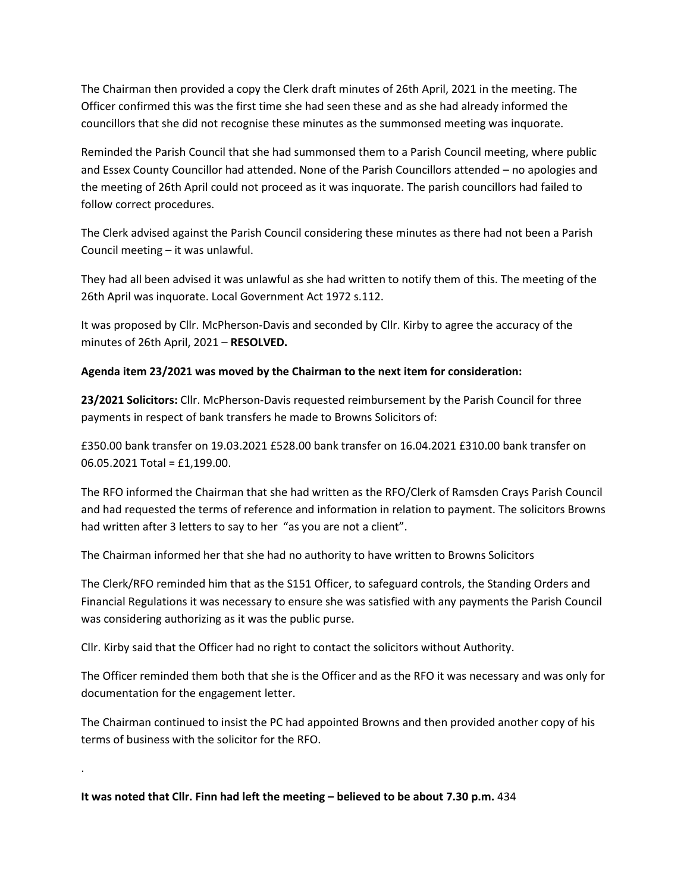The Chairman then provided a copy the Clerk draft minutes of 26th April, 2021 in the meeting. The Officer confirmed this was the first time she had seen these and as she had already informed the councillors that she did not recognise these minutes as the summonsed meeting was inquorate.

Reminded the Parish Council that she had summonsed them to a Parish Council meeting, where public and Essex County Councillor had attended. None of the Parish Councillors attended – no apologies and the meeting of 26th April could not proceed as it was inquorate. The parish councillors had failed to follow correct procedures.

The Clerk advised against the Parish Council considering these minutes as there had not been a Parish Council meeting – it was unlawful.

They had all been advised it was unlawful as she had written to notify them of this. The meeting of the 26th April was inquorate. Local Government Act 1972 s.112.

It was proposed by Cllr. McPherson-Davis and seconded by Cllr. Kirby to agree the accuracy of the minutes of 26th April, 2021 – **RESOLVED.** 

## **Agenda item 23/2021 was moved by the Chairman to the next item for consideration:**

**23/2021 Solicitors:** Cllr. McPherson-Davis requested reimbursement by the Parish Council for three payments in respect of bank transfers he made to Browns Solicitors of:

£350.00 bank transfer on 19.03.2021 £528.00 bank transfer on 16.04.2021 £310.00 bank transfer on 06.05.2021 Total = £1,199.00.

The RFO informed the Chairman that she had written as the RFO/Clerk of Ramsden Crays Parish Council and had requested the terms of reference and information in relation to payment. The solicitors Browns had written after 3 letters to say to her "as you are not a client".

The Chairman informed her that she had no authority to have written to Browns Solicitors

The Clerk/RFO reminded him that as the S151 Officer, to safeguard controls, the Standing Orders and Financial Regulations it was necessary to ensure she was satisfied with any payments the Parish Council was considering authorizing as it was the public purse.

Cllr. Kirby said that the Officer had no right to contact the solicitors without Authority.

The Officer reminded them both that she is the Officer and as the RFO it was necessary and was only for documentation for the engagement letter.

The Chairman continued to insist the PC had appointed Browns and then provided another copy of his terms of business with the solicitor for the RFO.

**It was noted that Cllr. Finn had left the meeting – believed to be about 7.30 p.m.** 434

.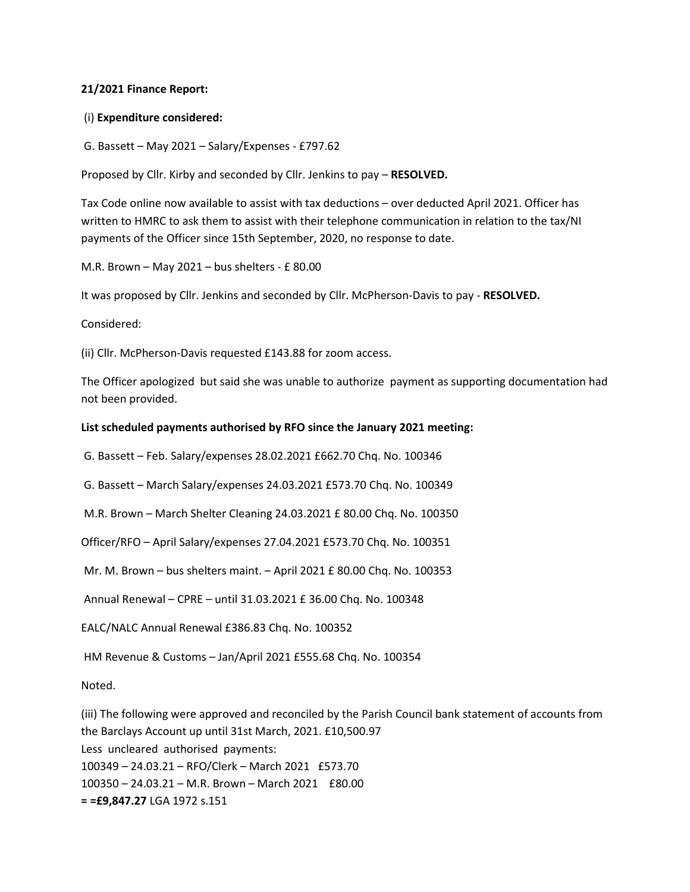#### **21/2021 Finance Report:**

### (i) **Expenditure considered:**

G. Bassett – May 2021 – Salary/Expenses - £797.62

Proposed by Cllr. Kirby and seconded by Cllr. Jenkins to pay – **RESOLVED.** 

Tax Code online now available to assist with tax deductions – over deducted April 2021. Officer has written to HMRC to ask them to assist with their telephone communication in relation to the tax/NI payments of the Officer since 15th September, 2020, no response to date.

M.R. Brown – May 2021 – bus shelters - £ 80.00

It was proposed by Cllr. Jenkins and seconded by Cllr. McPherson-Davis to pay - **RESOLVED.** 

Considered:

(ii) Cllr. McPherson-Davis requested £143.88 for zoom access.

The Officer apologized but said she was unable to authorize payment as supporting documentation had not been provided.

### **List scheduled payments authorised by RFO since the January 2021 meeting:**

G. Bassett – Feb. Salary/expenses 28.02.2021 £662.70 Chq. No. 100346

G. Bassett – March Salary/expenses 24.03.2021 £573.70 Chq. No. 100349

M.R. Brown – March Shelter Cleaning 24.03.2021 £ 80.00 Chq. No. 100350

Officer/RFO – April Salary/expenses 27.04.2021 £573.70 Chq. No. 100351

Mr. M. Brown – bus shelters maint. – April 2021 £ 80.00 Chq. No. 100353

Annual Renewal – CPRE – until 31.03.2021 £ 36.00 Chq. No. 100348

EALC/NALC Annual Renewal £386.83 Chq. No. 100352

HM Revenue & Customs – Jan/April 2021 £555.68 Chq. No. 100354

Noted.

(iii) The following were approved and reconciled by the Parish Council bank statement of accounts from the Barclays Account up until 31st March, 2021. £10,500.97 Less uncleared authorised payments: 100349 – 24.03.21 – RFO/Clerk – March 2021 £573.70 100350 – 24.03.21 – M.R. Brown – March 2021 £80.00 **= =£9,847.27** LGA 1972 s.151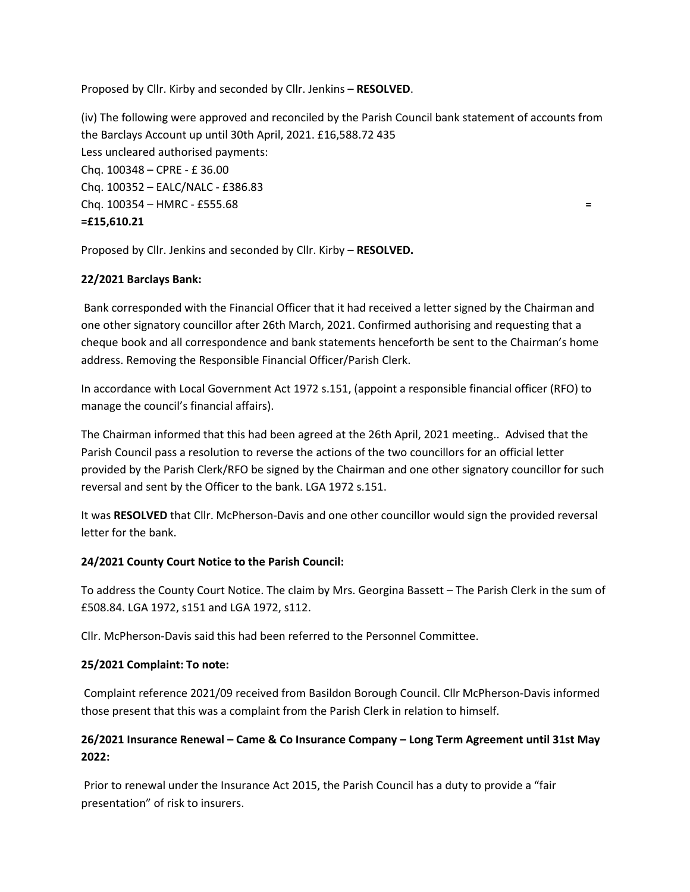Proposed by Cllr. Kirby and seconded by Cllr. Jenkins – **RESOLVED**.

(iv) The following were approved and reconciled by the Parish Council bank statement of accounts from the Barclays Account up until 30th April, 2021. £16,588.72 435 Less uncleared authorised payments: Chq. 100348 – CPRE - £ 36.00 Chq. 100352 – EALC/NALC - £386.83 Chq. 100354 – HMRC - £555.68 **= =£15,610.21** 

Proposed by Cllr. Jenkins and seconded by Cllr. Kirby – **RESOLVED.** 

## **22/2021 Barclays Bank:**

Bank corresponded with the Financial Officer that it had received a letter signed by the Chairman and one other signatory councillor after 26th March, 2021. Confirmed authorising and requesting that a cheque book and all correspondence and bank statements henceforth be sent to the Chairman's home address. Removing the Responsible Financial Officer/Parish Clerk.

In accordance with Local Government Act 1972 s.151, (appoint a responsible financial officer (RFO) to manage the council's financial affairs).

The Chairman informed that this had been agreed at the 26th April, 2021 meeting.. Advised that the Parish Council pass a resolution to reverse the actions of the two councillors for an official letter provided by the Parish Clerk/RFO be signed by the Chairman and one other signatory councillor for such reversal and sent by the Officer to the bank. LGA 1972 s.151.

It was **RESOLVED** that Cllr. McPherson-Davis and one other councillor would sign the provided reversal letter for the bank.

## **24/2021 County Court Notice to the Parish Council:**

To address the County Court Notice. The claim by Mrs. Georgina Bassett – The Parish Clerk in the sum of £508.84. LGA 1972, s151 and LGA 1972, s112.

Cllr. McPherson-Davis said this had been referred to the Personnel Committee.

## **25/2021 Complaint: To note:**

Complaint reference 2021/09 received from Basildon Borough Council. Cllr McPherson-Davis informed those present that this was a complaint from the Parish Clerk in relation to himself.

# **26/2021 Insurance Renewal – Came & Co Insurance Company – Long Term Agreement until 31st May 2022:**

Prior to renewal under the Insurance Act 2015, the Parish Council has a duty to provide a "fair presentation" of risk to insurers.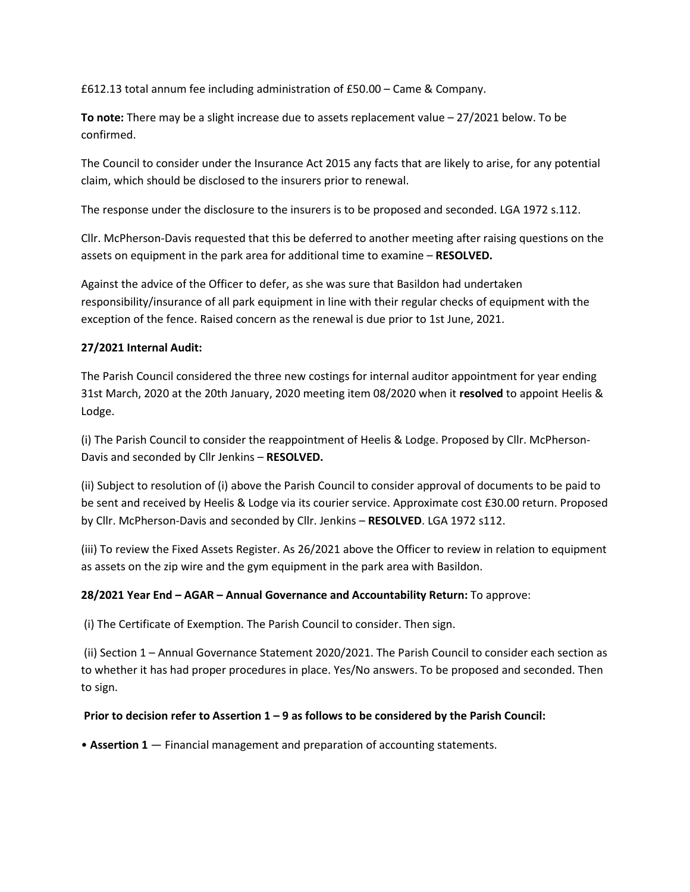£612.13 total annum fee including administration of £50.00 – Came & Company.

**To note:** There may be a slight increase due to assets replacement value – 27/2021 below. To be confirmed.

The Council to consider under the Insurance Act 2015 any facts that are likely to arise, for any potential claim, which should be disclosed to the insurers prior to renewal.

The response under the disclosure to the insurers is to be proposed and seconded. LGA 1972 s.112.

Cllr. McPherson-Davis requested that this be deferred to another meeting after raising questions on the assets on equipment in the park area for additional time to examine – **RESOLVED.** 

Against the advice of the Officer to defer, as she was sure that Basildon had undertaken responsibility/insurance of all park equipment in line with their regular checks of equipment with the exception of the fence. Raised concern as the renewal is due prior to 1st June, 2021.

### **27/2021 Internal Audit:**

The Parish Council considered the three new costings for internal auditor appointment for year ending 31st March, 2020 at the 20th January, 2020 meeting item 08/2020 when it **resolved** to appoint Heelis & Lodge.

(i) The Parish Council to consider the reappointment of Heelis & Lodge. Proposed by Cllr. McPherson-Davis and seconded by Cllr Jenkins – **RESOLVED.** 

(ii) Subject to resolution of (i) above the Parish Council to consider approval of documents to be paid to be sent and received by Heelis & Lodge via its courier service. Approximate cost £30.00 return. Proposed by Cllr. McPherson-Davis and seconded by Cllr. Jenkins – **RESOLVED**. LGA 1972 s112.

(iii) To review the Fixed Assets Register. As 26/2021 above the Officer to review in relation to equipment as assets on the zip wire and the gym equipment in the park area with Basildon.

## **28/2021 Year End – AGAR – Annual Governance and Accountability Return:** To approve:

(i) The Certificate of Exemption. The Parish Council to consider. Then sign.

 (ii) Section 1 – Annual Governance Statement 2020/2021. The Parish Council to consider each section as to whether it has had proper procedures in place. Yes/No answers. To be proposed and seconded. Then to sign.

## **Prior to decision refer to Assertion 1 – 9 as follows to be considered by the Parish Council:**

• **Assertion 1** — Financial management and preparation of accounting statements.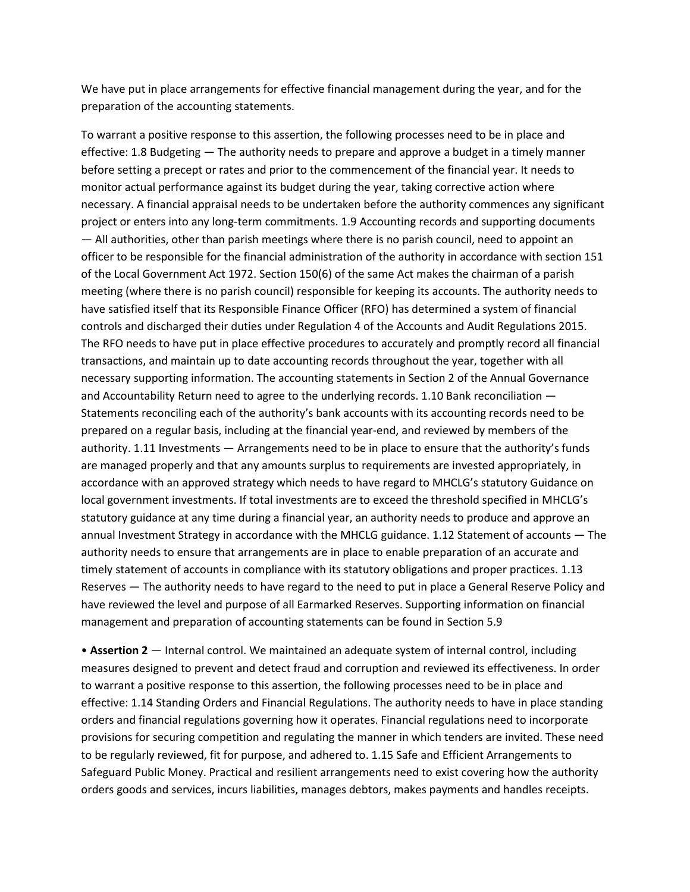We have put in place arrangements for effective financial management during the year, and for the preparation of the accounting statements.

To warrant a positive response to this assertion, the following processes need to be in place and effective: 1.8 Budgeting — The authority needs to prepare and approve a budget in a timely manner before setting a precept or rates and prior to the commencement of the financial year. It needs to monitor actual performance against its budget during the year, taking corrective action where necessary. A financial appraisal needs to be undertaken before the authority commences any significant project or enters into any long-term commitments. 1.9 Accounting records and supporting documents — All authorities, other than parish meetings where there is no parish council, need to appoint an officer to be responsible for the financial administration of the authority in accordance with section 151 of the Local Government Act 1972. Section 150(6) of the same Act makes the chairman of a parish meeting (where there is no parish council) responsible for keeping its accounts. The authority needs to have satisfied itself that its Responsible Finance Officer (RFO) has determined a system of financial controls and discharged their duties under Regulation 4 of the Accounts and Audit Regulations 2015. The RFO needs to have put in place effective procedures to accurately and promptly record all financial transactions, and maintain up to date accounting records throughout the year, together with all necessary supporting information. The accounting statements in Section 2 of the Annual Governance and Accountability Return need to agree to the underlying records. 1.10 Bank reconciliation — Statements reconciling each of the authority's bank accounts with its accounting records need to be prepared on a regular basis, including at the financial year-end, and reviewed by members of the authority. 1.11 Investments — Arrangements need to be in place to ensure that the authority's funds are managed properly and that any amounts surplus to requirements are invested appropriately, in accordance with an approved strategy which needs to have regard to MHCLG's statutory Guidance on local government investments. If total investments are to exceed the threshold specified in MHCLG's statutory guidance at any time during a financial year, an authority needs to produce and approve an annual Investment Strategy in accordance with the MHCLG guidance. 1.12 Statement of accounts — The authority needs to ensure that arrangements are in place to enable preparation of an accurate and timely statement of accounts in compliance with its statutory obligations and proper practices. 1.13 Reserves — The authority needs to have regard to the need to put in place a General Reserve Policy and have reviewed the level and purpose of all Earmarked Reserves. Supporting information on financial management and preparation of accounting statements can be found in Section 5.9

• **Assertion 2** — Internal control. We maintained an adequate system of internal control, including measures designed to prevent and detect fraud and corruption and reviewed its effectiveness. In order to warrant a positive response to this assertion, the following processes need to be in place and effective: 1.14 Standing Orders and Financial Regulations. The authority needs to have in place standing orders and financial regulations governing how it operates. Financial regulations need to incorporate provisions for securing competition and regulating the manner in which tenders are invited. These need to be regularly reviewed, fit for purpose, and adhered to. 1.15 Safe and Efficient Arrangements to Safeguard Public Money. Practical and resilient arrangements need to exist covering how the authority orders goods and services, incurs liabilities, manages debtors, makes payments and handles receipts.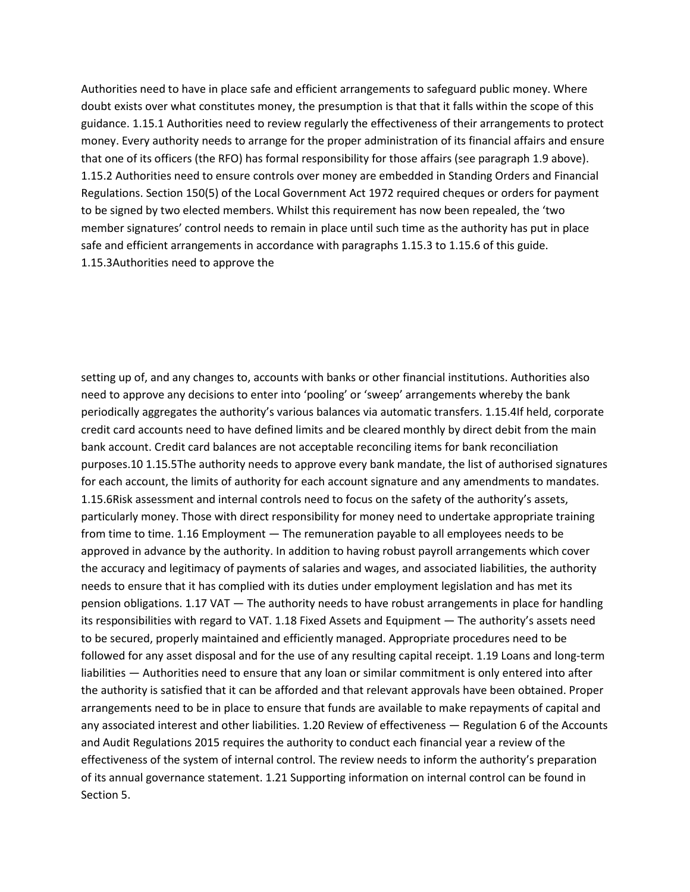Authorities need to have in place safe and efficient arrangements to safeguard public money. Where doubt exists over what constitutes money, the presumption is that that it falls within the scope of this guidance. 1.15.1 Authorities need to review regularly the effectiveness of their arrangements to protect money. Every authority needs to arrange for the proper administration of its financial affairs and ensure that one of its officers (the RFO) has formal responsibility for those affairs (see paragraph 1.9 above). 1.15.2 Authorities need to ensure controls over money are embedded in Standing Orders and Financial Regulations. Section 150(5) of the Local Government Act 1972 required cheques or orders for payment to be signed by two elected members. Whilst this requirement has now been repealed, the 'two member signatures' control needs to remain in place until such time as the authority has put in place safe and efficient arrangements in accordance with paragraphs 1.15.3 to 1.15.6 of this guide. 1.15.3Authorities need to approve the

setting up of, and any changes to, accounts with banks or other financial institutions. Authorities also need to approve any decisions to enter into 'pooling' or 'sweep' arrangements whereby the bank periodically aggregates the authority's various balances via automatic transfers. 1.15.4If held, corporate credit card accounts need to have defined limits and be cleared monthly by direct debit from the main bank account. Credit card balances are not acceptable reconciling items for bank reconciliation purposes.10 1.15.5The authority needs to approve every bank mandate, the list of authorised signatures for each account, the limits of authority for each account signature and any amendments to mandates. 1.15.6Risk assessment and internal controls need to focus on the safety of the authority's assets, particularly money. Those with direct responsibility for money need to undertake appropriate training from time to time. 1.16 Employment — The remuneration payable to all employees needs to be approved in advance by the authority. In addition to having robust payroll arrangements which cover the accuracy and legitimacy of payments of salaries and wages, and associated liabilities, the authority needs to ensure that it has complied with its duties under employment legislation and has met its pension obligations. 1.17 VAT — The authority needs to have robust arrangements in place for handling its responsibilities with regard to VAT. 1.18 Fixed Assets and Equipment — The authority's assets need to be secured, properly maintained and efficiently managed. Appropriate procedures need to be followed for any asset disposal and for the use of any resulting capital receipt. 1.19 Loans and long-term liabilities — Authorities need to ensure that any loan or similar commitment is only entered into after the authority is satisfied that it can be afforded and that relevant approvals have been obtained. Proper arrangements need to be in place to ensure that funds are available to make repayments of capital and any associated interest and other liabilities. 1.20 Review of effectiveness — Regulation 6 of the Accounts and Audit Regulations 2015 requires the authority to conduct each financial year a review of the effectiveness of the system of internal control. The review needs to inform the authority's preparation of its annual governance statement. 1.21 Supporting information on internal control can be found in Section 5.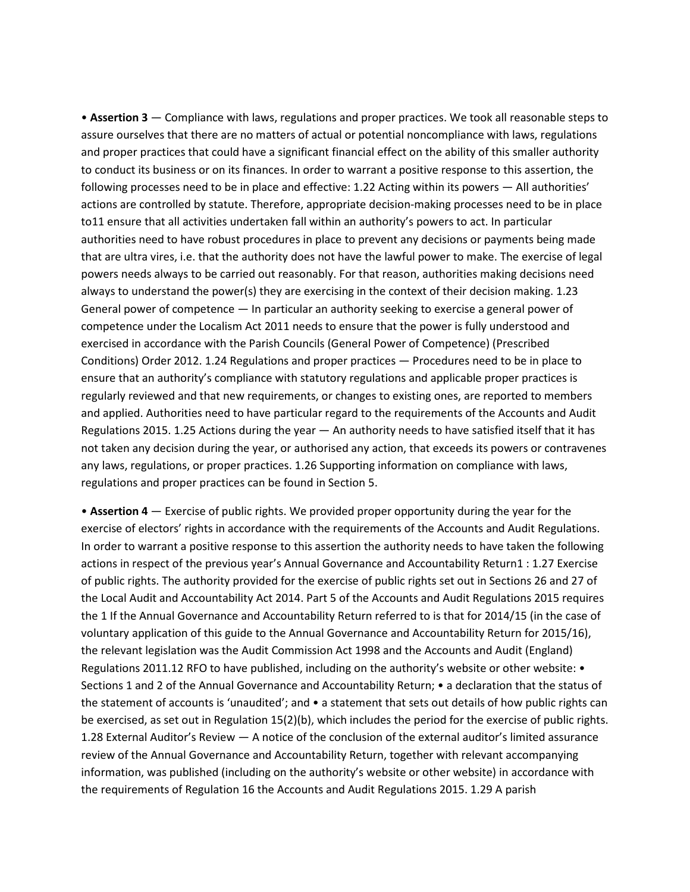• **Assertion 3** — Compliance with laws, regulations and proper practices. We took all reasonable steps to assure ourselves that there are no matters of actual or potential noncompliance with laws, regulations and proper practices that could have a significant financial effect on the ability of this smaller authority to conduct its business or on its finances. In order to warrant a positive response to this assertion, the following processes need to be in place and effective: 1.22 Acting within its powers — All authorities' actions are controlled by statute. Therefore, appropriate decision-making processes need to be in place to11 ensure that all activities undertaken fall within an authority's powers to act. In particular authorities need to have robust procedures in place to prevent any decisions or payments being made that are ultra vires, i.e. that the authority does not have the lawful power to make. The exercise of legal powers needs always to be carried out reasonably. For that reason, authorities making decisions need always to understand the power(s) they are exercising in the context of their decision making. 1.23 General power of competence — In particular an authority seeking to exercise a general power of competence under the Localism Act 2011 needs to ensure that the power is fully understood and exercised in accordance with the Parish Councils (General Power of Competence) (Prescribed Conditions) Order 2012. 1.24 Regulations and proper practices — Procedures need to be in place to ensure that an authority's compliance with statutory regulations and applicable proper practices is regularly reviewed and that new requirements, or changes to existing ones, are reported to members and applied. Authorities need to have particular regard to the requirements of the Accounts and Audit Regulations 2015. 1.25 Actions during the year  $-$  An authority needs to have satisfied itself that it has not taken any decision during the year, or authorised any action, that exceeds its powers or contravenes any laws, regulations, or proper practices. 1.26 Supporting information on compliance with laws, regulations and proper practices can be found in Section 5.

• **Assertion 4** — Exercise of public rights. We provided proper opportunity during the year for the exercise of electors' rights in accordance with the requirements of the Accounts and Audit Regulations. In order to warrant a positive response to this assertion the authority needs to have taken the following actions in respect of the previous year's Annual Governance and Accountability Return1 : 1.27 Exercise of public rights. The authority provided for the exercise of public rights set out in Sections 26 and 27 of the Local Audit and Accountability Act 2014. Part 5 of the Accounts and Audit Regulations 2015 requires the 1 If the Annual Governance and Accountability Return referred to is that for 2014/15 (in the case of voluntary application of this guide to the Annual Governance and Accountability Return for 2015/16), the relevant legislation was the Audit Commission Act 1998 and the Accounts and Audit (England) Regulations 2011.12 RFO to have published, including on the authority's website or other website: • Sections 1 and 2 of the Annual Governance and Accountability Return; • a declaration that the status of the statement of accounts is 'unaudited'; and • a statement that sets out details of how public rights can be exercised, as set out in Regulation 15(2)(b), which includes the period for the exercise of public rights. 1.28 External Auditor's Review — A notice of the conclusion of the external auditor's limited assurance review of the Annual Governance and Accountability Return, together with relevant accompanying information, was published (including on the authority's website or other website) in accordance with the requirements of Regulation 16 the Accounts and Audit Regulations 2015. 1.29 A parish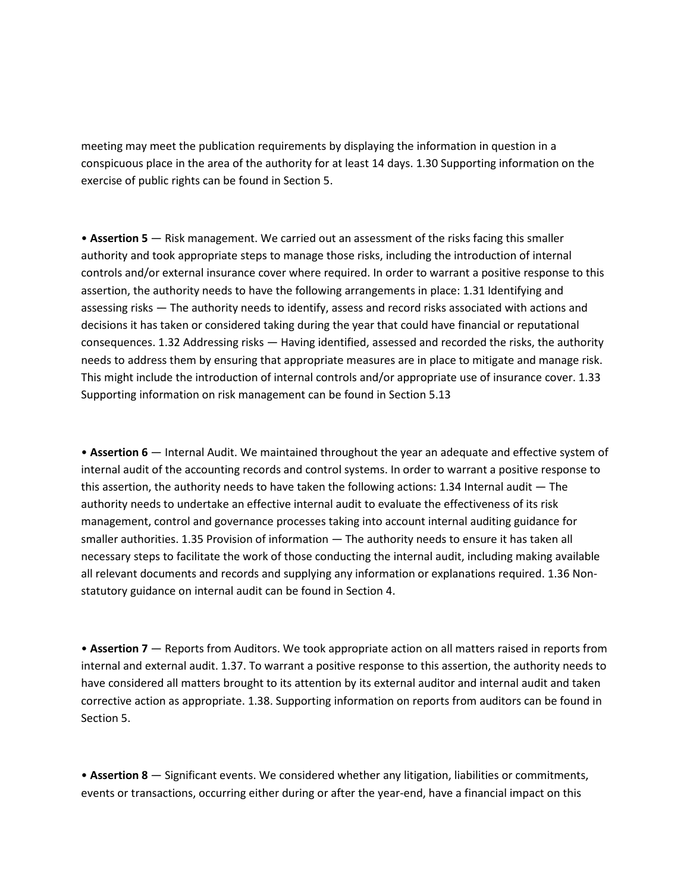meeting may meet the publication requirements by displaying the information in question in a conspicuous place in the area of the authority for at least 14 days. 1.30 Supporting information on the exercise of public rights can be found in Section 5.

• **Assertion 5** — Risk management. We carried out an assessment of the risks facing this smaller authority and took appropriate steps to manage those risks, including the introduction of internal controls and/or external insurance cover where required. In order to warrant a positive response to this assertion, the authority needs to have the following arrangements in place: 1.31 Identifying and assessing risks — The authority needs to identify, assess and record risks associated with actions and decisions it has taken or considered taking during the year that could have financial or reputational consequences. 1.32 Addressing risks — Having identified, assessed and recorded the risks, the authority needs to address them by ensuring that appropriate measures are in place to mitigate and manage risk. This might include the introduction of internal controls and/or appropriate use of insurance cover. 1.33 Supporting information on risk management can be found in Section 5.13

• **Assertion 6** — Internal Audit. We maintained throughout the year an adequate and effective system of internal audit of the accounting records and control systems. In order to warrant a positive response to this assertion, the authority needs to have taken the following actions: 1.34 Internal audit — The authority needs to undertake an effective internal audit to evaluate the effectiveness of its risk management, control and governance processes taking into account internal auditing guidance for smaller authorities. 1.35 Provision of information — The authority needs to ensure it has taken all necessary steps to facilitate the work of those conducting the internal audit, including making available all relevant documents and records and supplying any information or explanations required. 1.36 Nonstatutory guidance on internal audit can be found in Section 4.

• **Assertion 7** — Reports from Auditors. We took appropriate action on all matters raised in reports from internal and external audit. 1.37. To warrant a positive response to this assertion, the authority needs to have considered all matters brought to its attention by its external auditor and internal audit and taken corrective action as appropriate. 1.38. Supporting information on reports from auditors can be found in Section 5.

• **Assertion 8** — Significant events. We considered whether any litigation, liabilities or commitments, events or transactions, occurring either during or after the year-end, have a financial impact on this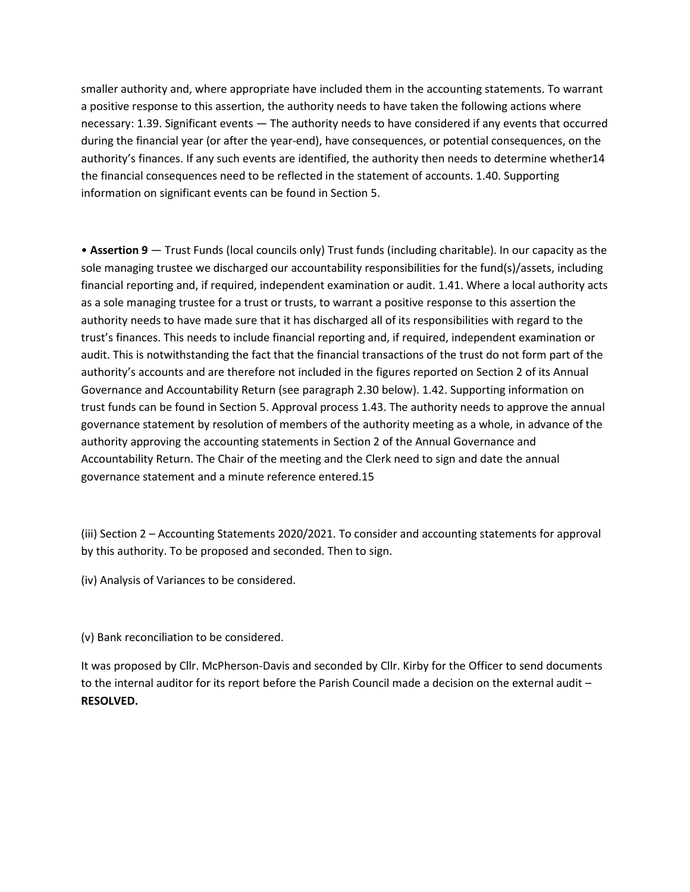smaller authority and, where appropriate have included them in the accounting statements. To warrant a positive response to this assertion, the authority needs to have taken the following actions where necessary: 1.39. Significant events — The authority needs to have considered if any events that occurred during the financial year (or after the year-end), have consequences, or potential consequences, on the authority's finances. If any such events are identified, the authority then needs to determine whether14 the financial consequences need to be reflected in the statement of accounts. 1.40. Supporting information on significant events can be found in Section 5.

• **Assertion 9** — Trust Funds (local councils only) Trust funds (including charitable). In our capacity as the sole managing trustee we discharged our accountability responsibilities for the fund(s)/assets, including financial reporting and, if required, independent examination or audit. 1.41. Where a local authority acts as a sole managing trustee for a trust or trusts, to warrant a positive response to this assertion the authority needs to have made sure that it has discharged all of its responsibilities with regard to the trust's finances. This needs to include financial reporting and, if required, independent examination or audit. This is notwithstanding the fact that the financial transactions of the trust do not form part of the authority's accounts and are therefore not included in the figures reported on Section 2 of its Annual Governance and Accountability Return (see paragraph 2.30 below). 1.42. Supporting information on trust funds can be found in Section 5. Approval process 1.43. The authority needs to approve the annual governance statement by resolution of members of the authority meeting as a whole, in advance of the authority approving the accounting statements in Section 2 of the Annual Governance and Accountability Return. The Chair of the meeting and the Clerk need to sign and date the annual governance statement and a minute reference entered.15

(iii) Section 2 – Accounting Statements 2020/2021. To consider and accounting statements for approval by this authority. To be proposed and seconded. Then to sign.

(iv) Analysis of Variances to be considered.

(v) Bank reconciliation to be considered.

It was proposed by Cllr. McPherson-Davis and seconded by Cllr. Kirby for the Officer to send documents to the internal auditor for its report before the Parish Council made a decision on the external audit – **RESOLVED.**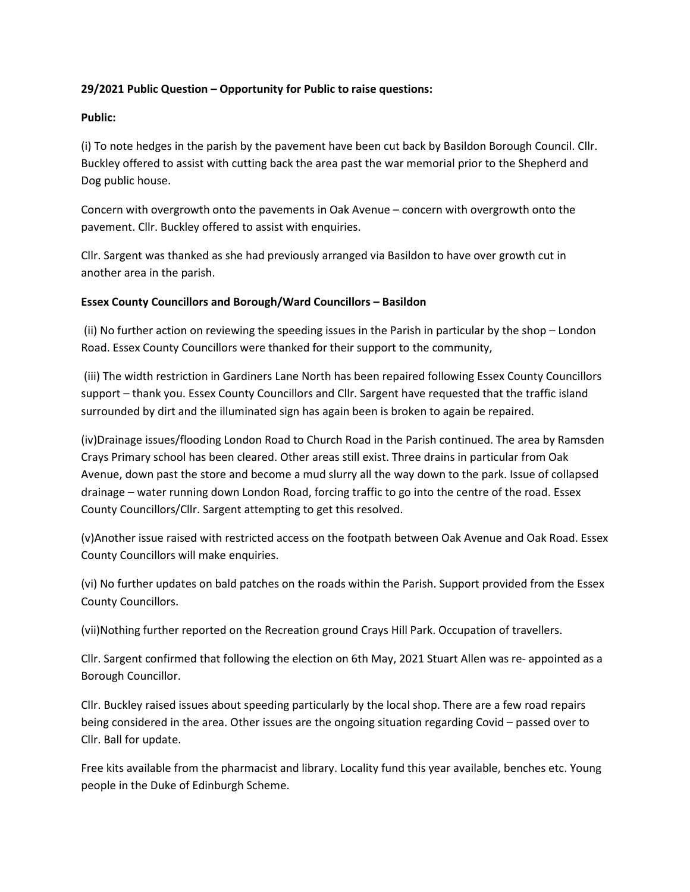### **29/2021 Public Question – Opportunity for Public to raise questions:**

### **Public:**

(i) To note hedges in the parish by the pavement have been cut back by Basildon Borough Council. Cllr. Buckley offered to assist with cutting back the area past the war memorial prior to the Shepherd and Dog public house.

Concern with overgrowth onto the pavements in Oak Avenue – concern with overgrowth onto the pavement. Cllr. Buckley offered to assist with enquiries.

Cllr. Sargent was thanked as she had previously arranged via Basildon to have over growth cut in another area in the parish.

### **Essex County Councillors and Borough/Ward Councillors – Basildon**

(ii) No further action on reviewing the speeding issues in the Parish in particular by the shop – London Road. Essex County Councillors were thanked for their support to the community,

 (iii) The width restriction in Gardiners Lane North has been repaired following Essex County Councillors support – thank you. Essex County Councillors and Cllr. Sargent have requested that the traffic island surrounded by dirt and the illuminated sign has again been is broken to again be repaired.

(iv)Drainage issues/flooding London Road to Church Road in the Parish continued. The area by Ramsden Crays Primary school has been cleared. Other areas still exist. Three drains in particular from Oak Avenue, down past the store and become a mud slurry all the way down to the park. Issue of collapsed drainage – water running down London Road, forcing traffic to go into the centre of the road. Essex County Councillors/Cllr. Sargent attempting to get this resolved.

(v)Another issue raised with restricted access on the footpath between Oak Avenue and Oak Road. Essex County Councillors will make enquiries.

(vi) No further updates on bald patches on the roads within the Parish. Support provided from the Essex County Councillors.

(vii)Nothing further reported on the Recreation ground Crays Hill Park. Occupation of travellers.

Cllr. Sargent confirmed that following the election on 6th May, 2021 Stuart Allen was re- appointed as a Borough Councillor.

Cllr. Buckley raised issues about speeding particularly by the local shop. There are a few road repairs being considered in the area. Other issues are the ongoing situation regarding Covid – passed over to Cllr. Ball for update.

Free kits available from the pharmacist and library. Locality fund this year available, benches etc. Young people in the Duke of Edinburgh Scheme.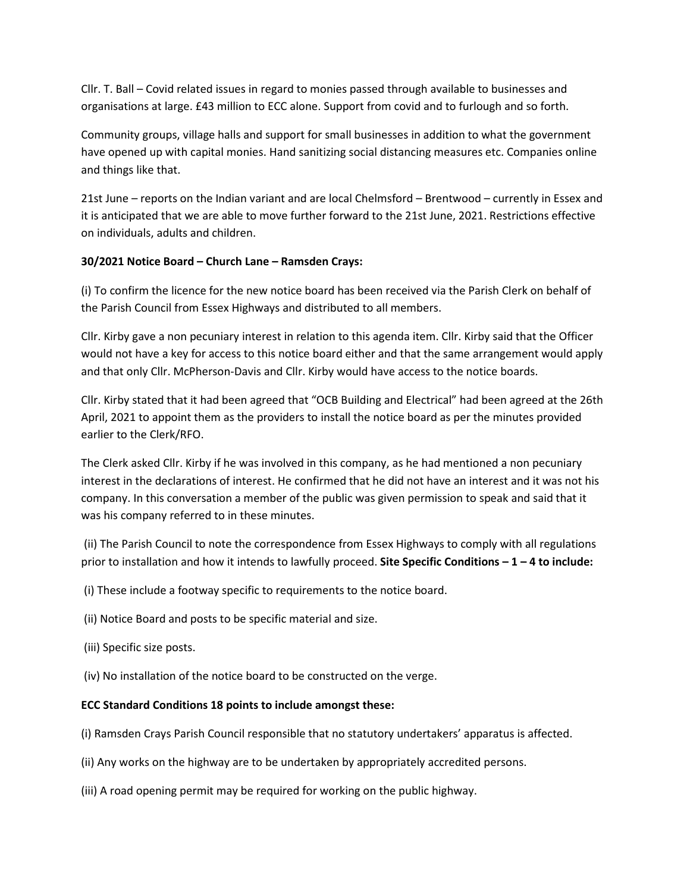Cllr. T. Ball – Covid related issues in regard to monies passed through available to businesses and organisations at large. £43 million to ECC alone. Support from covid and to furlough and so forth.

Community groups, village halls and support for small businesses in addition to what the government have opened up with capital monies. Hand sanitizing social distancing measures etc. Companies online and things like that.

21st June – reports on the Indian variant and are local Chelmsford – Brentwood – currently in Essex and it is anticipated that we are able to move further forward to the 21st June, 2021. Restrictions effective on individuals, adults and children.

### **30/2021 Notice Board – Church Lane – Ramsden Crays:**

(i) To confirm the licence for the new notice board has been received via the Parish Clerk on behalf of the Parish Council from Essex Highways and distributed to all members.

Cllr. Kirby gave a non pecuniary interest in relation to this agenda item. Cllr. Kirby said that the Officer would not have a key for access to this notice board either and that the same arrangement would apply and that only Cllr. McPherson-Davis and Cllr. Kirby would have access to the notice boards.

Cllr. Kirby stated that it had been agreed that "OCB Building and Electrical" had been agreed at the 26th April, 2021 to appoint them as the providers to install the notice board as per the minutes provided earlier to the Clerk/RFO.

The Clerk asked Cllr. Kirby if he was involved in this company, as he had mentioned a non pecuniary interest in the declarations of interest. He confirmed that he did not have an interest and it was not his company. In this conversation a member of the public was given permission to speak and said that it was his company referred to in these minutes.

 (ii) The Parish Council to note the correspondence from Essex Highways to comply with all regulations prior to installation and how it intends to lawfully proceed. **Site Specific Conditions – 1 – 4 to include:** 

(i) These include a footway specific to requirements to the notice board.

- (ii) Notice Board and posts to be specific material and size.
- (iii) Specific size posts.
- (iv) No installation of the notice board to be constructed on the verge.

#### **ECC Standard Conditions 18 points to include amongst these:**

- (i) Ramsden Crays Parish Council responsible that no statutory undertakers' apparatus is affected.
- (ii) Any works on the highway are to be undertaken by appropriately accredited persons.
- (iii) A road opening permit may be required for working on the public highway.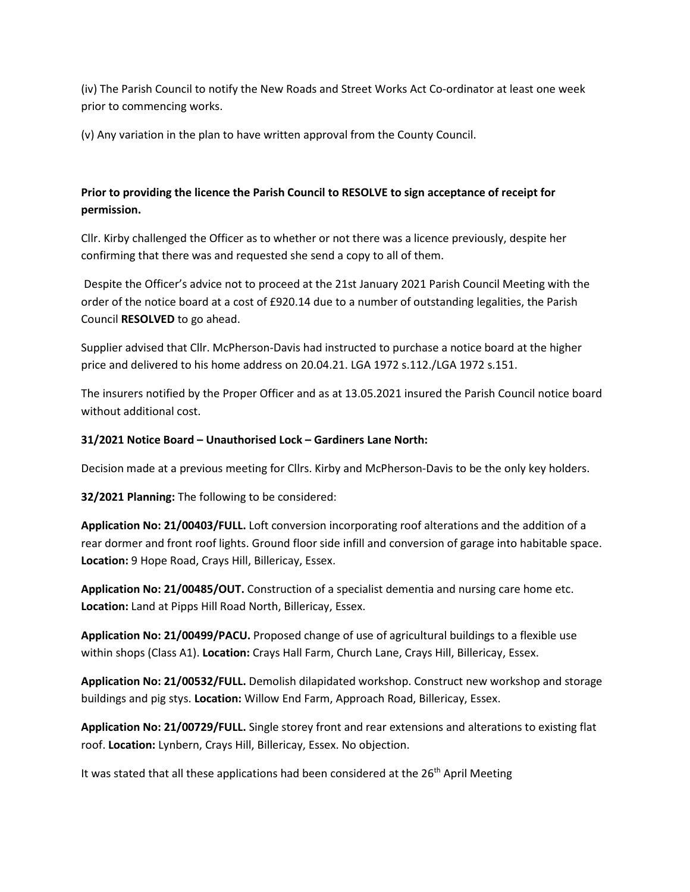(iv) The Parish Council to notify the New Roads and Street Works Act Co-ordinator at least one week prior to commencing works.

(v) Any variation in the plan to have written approval from the County Council.

# **Prior to providing the licence the Parish Council to RESOLVE to sign acceptance of receipt for permission.**

Cllr. Kirby challenged the Officer as to whether or not there was a licence previously, despite her confirming that there was and requested she send a copy to all of them.

 Despite the Officer's advice not to proceed at the 21st January 2021 Parish Council Meeting with the order of the notice board at a cost of £920.14 due to a number of outstanding legalities, the Parish Council **RESOLVED** to go ahead.

Supplier advised that Cllr. McPherson-Davis had instructed to purchase a notice board at the higher price and delivered to his home address on 20.04.21. LGA 1972 s.112./LGA 1972 s.151.

The insurers notified by the Proper Officer and as at 13.05.2021 insured the Parish Council notice board without additional cost.

## **31/2021 Notice Board – Unauthorised Lock – Gardiners Lane North:**

Decision made at a previous meeting for Cllrs. Kirby and McPherson-Davis to be the only key holders.

**32/2021 Planning:** The following to be considered:

**Application No: 21/00403/FULL.** Loft conversion incorporating roof alterations and the addition of a rear dormer and front roof lights. Ground floor side infill and conversion of garage into habitable space. **Location:** 9 Hope Road, Crays Hill, Billericay, Essex.

**Application No: 21/00485/OUT.** Construction of a specialist dementia and nursing care home etc. **Location:** Land at Pipps Hill Road North, Billericay, Essex.

**Application No: 21/00499/PACU.** Proposed change of use of agricultural buildings to a flexible use within shops (Class A1). **Location:** Crays Hall Farm, Church Lane, Crays Hill, Billericay, Essex.

**Application No: 21/00532/FULL.** Demolish dilapidated workshop. Construct new workshop and storage buildings and pig stys. **Location:** Willow End Farm, Approach Road, Billericay, Essex.

**Application No: 21/00729/FULL.** Single storey front and rear extensions and alterations to existing flat roof. **Location:** Lynbern, Crays Hill, Billericay, Essex. No objection.

It was stated that all these applications had been considered at the  $26<sup>th</sup>$  April Meeting